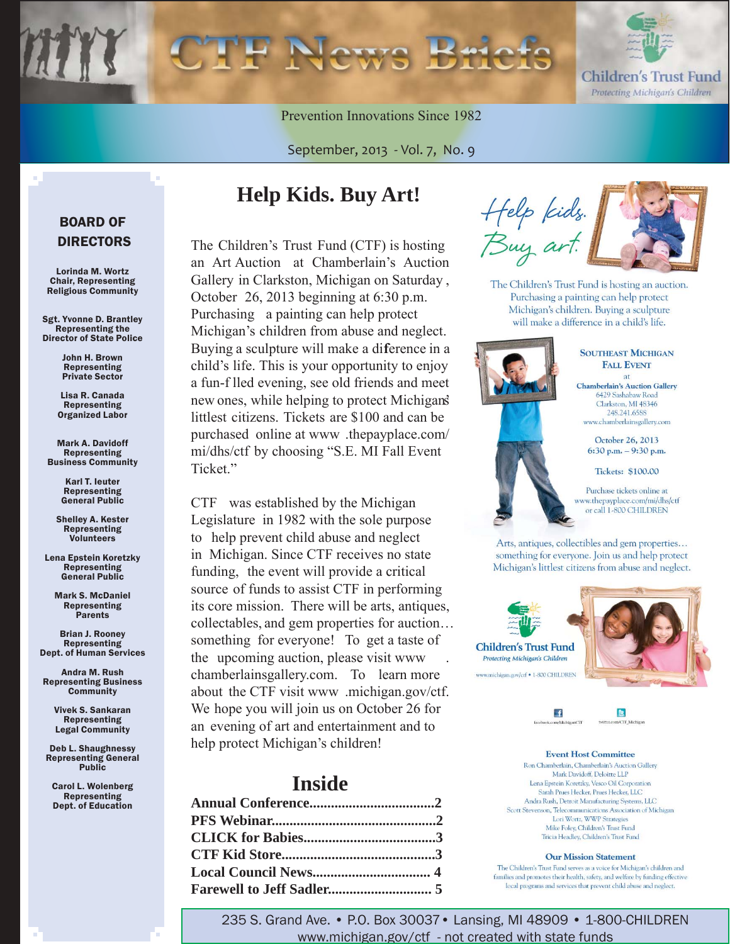

Prevention Innovations Since 1982

September, 2013 - Vol. 7, No. 9

# **Help Kids. Buy Art!**

The Children's Trust Fund (CTF) is hosting an Art Auction at Chamberlain's Auction Gallery in Clarkston, Michigan on Saturday , October 26, 2013 beginning at 6:30 p.m. Purchasing a painting can help protect Michigan's children from abuse and neglect. Buying a sculpture will make a diference in a child's life. This is your opportunity to enjoy a fun-f lled evening, see old friends and meet new ones, while helping to protect Michigan's littlest citizens. Tickets are \$100 and can be purchased online at www .thepayplace.com/ [mi/dhs/ctf by choosing "S.E. MI Fall Event](www.thepayplace.com/mi/dhs/ctf)  Ticket."

CTF was established by the Michigan Legislature in 1982 with the sole purpose to help prevent child abuse and neglect in Michigan. Since CTF receives no state funding, the event will provide a critical source of funds to assist CTF in performing its core mission. There will be arts, antiques, collectables, and gem properties for auction… something for everyone! To get a taste of the upcoming auction, please visit www . chamberlainsgallery.com. To learn more about the CTF visit www .michigan.gov/ctf. We hope you will join us on October 26 for an evening of art and entertainment and to help protect Michigan's children!

### **Inside**

Help kids.<br>Buy art.

The Children's Trust Fund is hosting an auction. Purchasing a painting can help protect Michigan's children. Buying a sculpture will make a difference in a child's life.



#### **SOUTHEAST MICHIGAN FALL EVENT Chamberlain's Auction Gallery** 6429 Sashabaw Road

Clarkston, MI 48346 248.241.6588 www.chamberlainsgallery.com

October 26, 2013 6:30 p.m.  $-9:30$  p.m.

Tickets: \$100.00

Purchase tickets online at ww.thepayplace.com/mi/dhs/ctf or call 1-800 CHILDREN

Arts, antiques, collectibles and gem properties... something for everyone. Join us and help protect Michigan's littlest citizens from abuse and neglect.





**Event Host Committee** Ron Chamberlain, Chamberlain's Auction Gallery Mark Davidoff, Deloitte LLP Lena Epstein Koretzky, Vesco Oil Corporation Sarah Prues Hecker, Prues Hecker, LLC Andra Rush, Detroit Manufacturing Systems, LLC Scott Stevenson, Telecommunications Association of Michigan Lori Wortz, WWP Strategies Mike Foley, Children's Trust Fund Tricia Headley, Children's Trust Fund

**Our Mission Statement** The Children's Trust Fund serves as a voice for Michigan's children and families and promotes their health, safety, and welfare by funding effective local programs and services that prevent child abuse and neglect.

### BOARD OF DIRECTORS

Lorinda M. Wortz Chair, Representing Religious Community

Sgt. Yvonne D. Brantley Representing the Director of State Police

> John H. Brown Representing Private Sector

Lisa R. Canada Representing Organized Labor

Mark A. Davidoff Representing Business Community

> Karl T. Ieuter Representing General Public

Shelley A. Kester Representing Volunteers

Lena Epstein Koretzky **Representing** General Public

Mark S. McDaniel Representing **Parents** 

Brian J. Rooney Representing Dept. of Human Services

Andra M. Rush Representing Business **Community** 

> Vivek S. Sankaran Representing Legal Community

Deb L. Shaughnessy Representing General Public

Carol L. Wolenberg Representing Dept. of Education

> 235 S. Grand Ave. • P.O. Box 30037• Lansing, MI 48909 • 1-800-CHILDREN www.michigan.gov/ctf - not created with state funds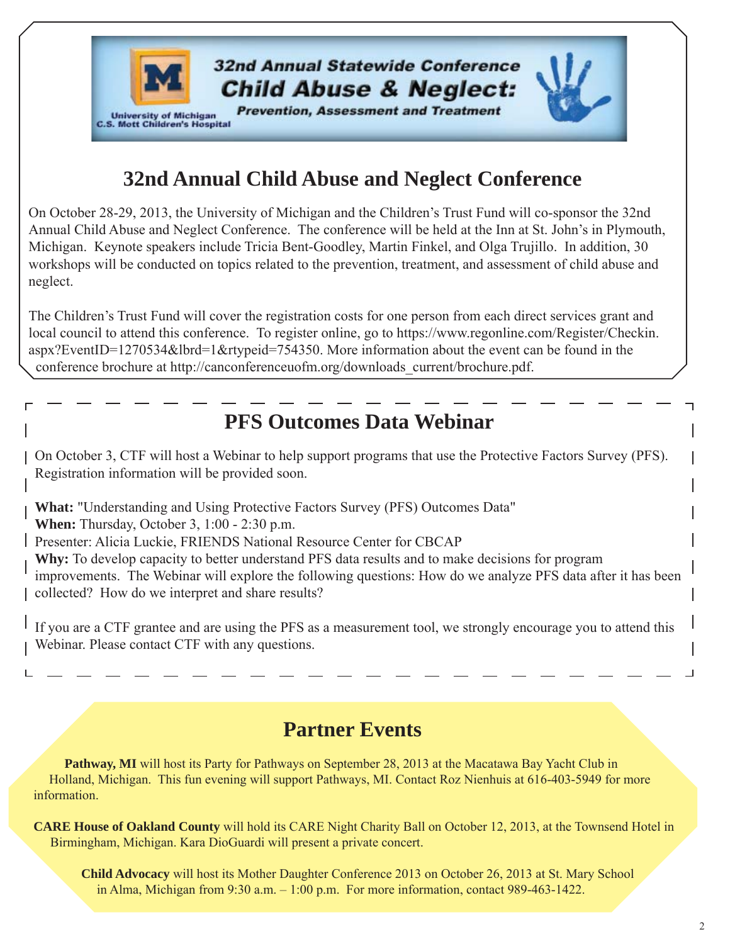

# **32nd Annual Child Abuse and Neglect Conference**

On October 28-29, 2013, the University of Michigan and the Children's Trust Fund will co-sponsor the 32nd Annual Child Abuse and Neglect Conference. The conference will be held at the Inn at St. John's in Plymouth, Michigan. Keynote speakers include Tricia Bent-Goodley, Martin Finkel, and Olga Trujillo. In addition, 30 workshops will be conducted on topics related to the prevention, treatment, and assessment of child abuse and neglect.

The Children's Trust Fund will cover the registration costs for one person from each direct services grant and local council to attend this conference. To register online, go to [https://www.regonline.com/Register/Checkin.](https://www.regonline.com/Register/Checkin.aspx?EventID=1270534&lbrd=1&rtypeid=754350) [aspx?EventID=1270534&lbrd=1&rtypeid=754350.](https://www.regonline.com/Register/Checkin.aspx?EventID=1270534&lbrd=1&rtypeid=754350) More information about the event can be found in the conference brochure at http://canconferenceuofm.org/downloads\_current/brochure.pdf.

# **PFS Outcomes Data Webinar**

On October 3, CTF will host a Webinar to help support programs that use the Protective Factors Survey (PFS). Registration information will be provided soon.

**What:** "Understanding and Using Protective Factors Survey (PFS) Outcomes Data"

**When:** Thursday, October 3, 1:00 - 2:30 p.m.

Presenter: Alicia Luckie, FRIENDS National Resource Center for CBCAP

**Why:** To develop capacity to better understand PFS data results and to make decisions for program improvements. The Webinar will explore the following questions: How do we analyze PFS data after it has been collected? How do we interpret and share results?

If you are a CTF grantee and are using the PFS as a measurement tool, we strongly encourage you to attend this Webinar. Please contact CTF with any questions.

# **Partner Events**

**Pathway, MI** will host its Party for Pathways on September 28, 2013 at the Macatawa Bay Yacht Club in Holland, Michigan. This fun evening will support Pathways, MI. Contact Roz Nienhuis at 616-403-5949 for more information.

**CARE House of Oakland County** will hold its CARE Night Charity Ball on October 12, 2013, at the Townsend Hotel in Birmingham, Michigan. Kara DioGuardi will present a private concert.

**Child Advocacy** will host its Mother Daughter Conference 2013 on October 26, 2013 at St. Mary School in Alma, Michigan from 9:30 a.m. – 1:00 p.m. For more information, contact 989-463-1422.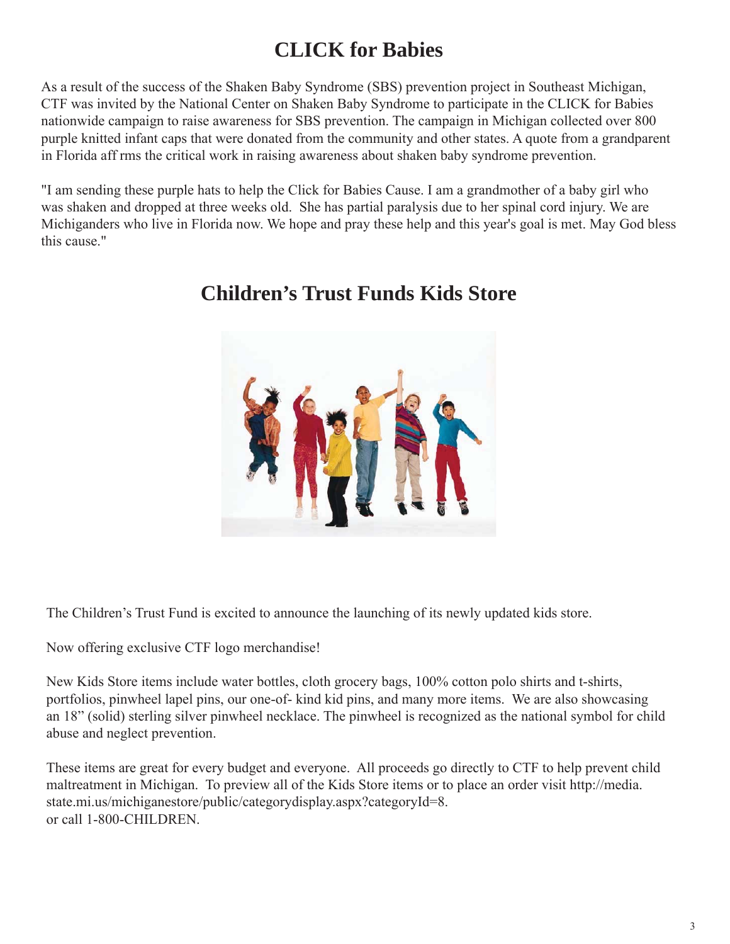# **CLICK for Babies**

As a result of the success of the Shaken Baby Syndrome (SBS) prevention project in Southeast Michigan, CTF was invited by the National Center on Shaken Baby Syndrome to participate in the CLICK for Babies nationwide campaign to raise awareness for SBS prevention. The campaign in Michigan collected over 800 purple knitted infant caps that were donated from the community and other states. A quote from a grandparent in Florida aff rms the critical work in raising awareness about shaken baby syndrome prevention.

"I am sending these purple hats to help the Click for Babies Cause. I am a grandmother of a baby girl who was shaken and dropped at three weeks old. She has partial paralysis due to her spinal cord injury. We are Michiganders who live in Florida now. We hope and pray these help and this year's goal is met. May God bless this cause."



# **Children's Trust Funds Kids Store**

The Children's Trust Fund is excited to announce the launching of its newly updated kids store.

Now offering exclusive CTF logo merchandise!

New Kids Store items include water bottles, cloth grocery bags, 100% cotton polo shirts and t-shirts, portfolios, pinwheel lapel pins, our one-of- kind kid pins, and many more items. We are also showcasing an 18" (solid) sterling silver pinwheel necklace. The pinwheel is recognized as the national symbol for child abuse and neglect prevention.

These items are great for every budget and everyone. All proceeds go directly to CTF to help prevent child [maltreatment in Michigan. To preview all of the Kids Store items or to place an order visit http://media.](http://media.state.mi.us/michiganestore/public/categorydisplay.aspx?categoryId=8) state.mi.us/michiganestore/public/categorydisplay.aspx?categoryId=8. or call 1-800-CHILDREN.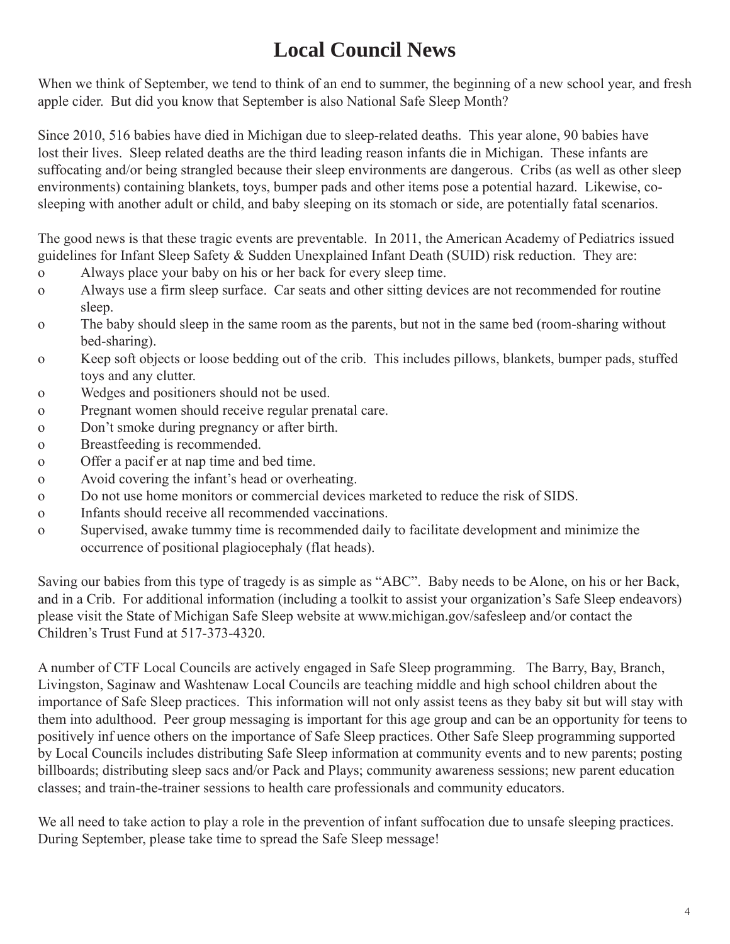# **Local Council News**

When we think of September, we tend to think of an end to summer, the beginning of a new school year, and fresh apple cider. But did you know that September is also National Safe Sleep Month?

Since 2010, 516 babies have died in Michigan due to sleep-related deaths. This year alone, 90 babies have lost their lives. Sleep related deaths are the third leading reason infants die in Michigan. These infants are suffocating and/or being strangled because their sleep environments are dangerous. Cribs (as well as other sleep environments) containing blankets, toys, bumper pads and other items pose a potential hazard. Likewise, cosleeping with another adult or child, and baby sleeping on its stomach or side, are potentially fatal scenarios.

The good news is that these tragic events are preventable. In 2011, the American Academy of Pediatrics issued guidelines for Infant Sleep Safety & Sudden Unexplained Infant Death (SUID) risk reduction. They are:

- o Always place your baby on his or her back for every sleep time.
- o Always use a firm sleep surface. Car seats and other sitting devices are not recommended for routine sleep.
- o The baby should sleep in the same room as the parents, but not in the same bed (room-sharing without bed-sharing).
- o Keep soft objects or loose bedding out of the crib. This includes pillows, blankets, bumper pads, stuffed toys and any clutter.
- o Wedges and positioners should not be used.
- o Pregnant women should receive regular prenatal care.
- o Don't smoke during pregnancy or after birth.
- o Breastfeeding is recommended.
- o Offer a pacif er at nap time and bed time.
- o Avoid covering the infant's head or overheating.
- o Do not use home monitors or commercial devices marketed to reduce the risk of SIDS.
- o Infants should receive all recommended vaccinations.
- o Supervised, awake tummy time is recommended daily to facilitate development and minimize the occurrence of positional plagiocephaly (flat heads).

Saving our babies from this type of tragedy is as simple as "ABC". Baby needs to be Alone, on his or her Back, and in a Crib. For additional information (including a toolkit to assist your organization's Safe Sleep endeavors) please visit the State of Michigan Safe Sleep website at www.michigan.gov/safesleep and/or contact the Children's Trust Fund at 517-373-4320.

A number of CTF Local Councils are actively engaged in Safe Sleep programming. The Barry, Bay, Branch, Livingston, Saginaw and Washtenaw Local Councils are teaching middle and high school children about the importance of Safe Sleep practices. This information will not only assist teens as they baby sit but will stay with them into adulthood. Peer group messaging is important for this age group and can be an opportunity for teens to positively inf uence others on the importance of Safe Sleep practices. Other Safe Sleep programming supported by Local Councils includes distributing Safe Sleep information at community events and to new parents; posting billboards; distributing sleep sacs and/or Pack and Plays; community awareness sessions; new parent education classes; and train-the-trainer sessions to health care professionals and community educators.

We all need to take action to play a role in the prevention of infant suffocation due to unsafe sleeping practices. During September, please take time to spread the Safe Sleep message!